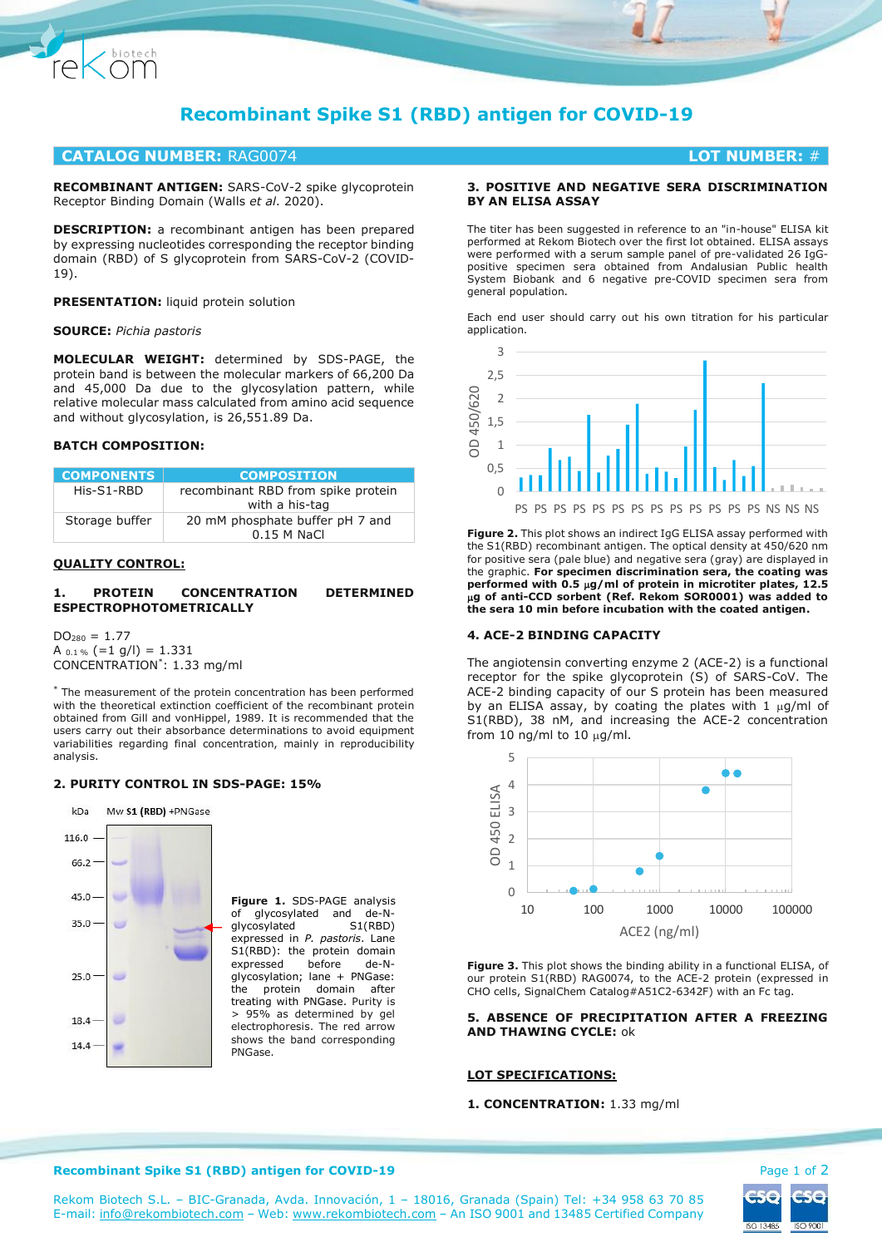

# **CATALOG NUMBER:** RAG0074 **LOT NUMBER:** #

**RECOMBINANT ANTIGEN:** SARS-CoV-2 spike glycoprotein Receptor Binding Domain (Walls *et al*. 2020).

**DESCRIPTION:** a recombinant antigen has been prepared by expressing nucleotides corresponding the receptor binding domain (RBD) of S glycoprotein from SARS-CoV-2 (COVID-19).

**PRESENTATION:** liquid protein solution

#### **SOURCE:** *Pichia pastoris*

Chiotech

**MOLECULAR WEIGHT:** determined by SDS-PAGE, the protein band is between the molecular markers of 66,200 Da and 45,000 Da due to the glycosylation pattern, while relative molecular mass calculated from amino acid sequence and without glycosylation, is 26,551.89 Da.

# **BATCH COMPOSITION:**

| <b>COMPONENTS</b> | <b>COMPOSITION</b>                 |
|-------------------|------------------------------------|
| His-S1-RBD        | recombinant RBD from spike protein |
|                   | with a his-tag                     |
| Storage buffer    | 20 mM phosphate buffer pH 7 and    |
|                   | $0.15$ M NaCl                      |

#### **QUALITY CONTROL:**

## **1. PROTEIN CONCENTRATION DETERMINED ESPECTROPHOTOMETRICALLY**

 $DO<sub>280</sub> = 1.77$ A  $_{0.1\%}$  (=1 g/l) = 1.331 CONCENTRATION\* : 1.33 mg/ml

\* The measurement of the protein concentration has been performed with the theoretical extinction coefficient of the recombinant protein obtained from Gill and vonHippel, 1989. It is recommended that the users carry out their absorbance determinations to avoid equipment variabilities regarding final concentration, mainly in reproducibility analysis.

## **2. PURITY CONTROL IN SDS-PAGE: 15%**



**Figure 1.** SDS-PAGE analysis of glycosylated and de-N-<br>glycosylated S1(RBD) glycosylated expressed in *P. pastoris*. Lane S1(RBD): the protein domain expressed before de-Nglycosylation; lane + PNGase: the protein domain after treating with PNGase. Purity is > 95% as determined by gel electrophoresis. The red arrow shows the band corresponding PNGase.

## **3. POSITIVE AND NEGATIVE SERA DISCRIMINATION BY AN ELISA ASSAY**

The titer has been suggested in reference to an "in-house" ELISA kit performed at Rekom Biotech over the first lot obtained. ELISA assays were performed with a serum sample panel of pre-validated 26 IgGpositive specimen sera obtained from Andalusian Public health System Biobank and 6 negative pre-COVID specimen sera from general population.

Each end user should carry out his own titration for his particular application.



**Figure 2.** This plot shows an indirect IgG ELISA assay performed with the S1(RBD) recombinant antigen. The optical density at 450/620 nm for positive sera (pale blue) and negative sera (gray) are displayed in the graphic. **For specimen discrimination sera, the coating was performed with 0.5 g/ml of protein in microtiter plates, 12.5 g of anti-CCD sorbent (Ref. Rekom SOR0001) was added to the sera 10 min before incubation with the coated antigen.**

#### **4. ACE-2 BINDING CAPACITY**

The angiotensin converting enzyme 2 (ACE-2) is a functional receptor for the spike glycoprotein (S) of SARS-CoV. The ACE-2 binding capacity of our S protein has been measured by an ELISA assay, by coating the plates with 1  $\mu$ g/ml of S1(RBD), 38 nM, and increasing the ACE-2 concentration from 10 ng/ml to 10  $\mu$ g/ml.



**Figure 3.** This plot shows the binding ability in a functional ELISA, of our protein S1(RBD) RAG0074, to the ACE-2 protein (expressed in CHO cells, SignalChem Catalog#A51C2-6342F) with an Fc tag.

## **5. ABSENCE OF PRECIPITATION AFTER A FREEZING AND THAWING CYCLE:** ok

## **LOT SPECIFICATIONS:**

#### **1. CONCENTRATION:** 1.33 mg/ml



#### **Recombinant Spike S1 (RBD) antigen for COVID-19 Page 1 of 2 Page 1 of 2**

Rekom Biotech S.L. – BIC-Granada, Avda. Innovación, 1 – 18016, Granada (Spain) Tel: +34 958 63 70 85 E-mail[: info@rekombiotech.com](mailto:info@rekombiotech.com) – Web: [www.rekombiotech.com](file:///D:/Dropbox/Rekom/pdfs/www.rekombiotech.com) – An ISO 9001 and 13485 Certified Company